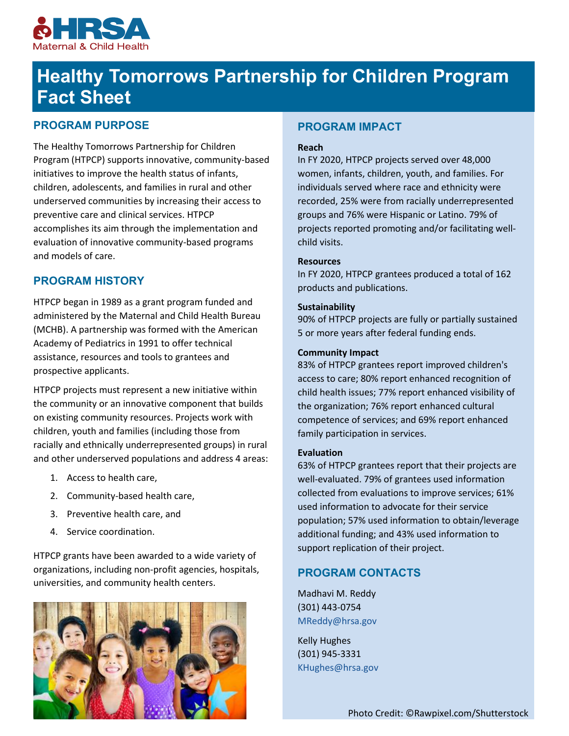

# **Healthy Tomorrows Partnership for Children Program Fact Sheet**

## **PROGRAM PURPOSE**

The Healthy Tomorrows Partnership for Children Program (HTPCP) supports innovative, community-based initiatives to improve the health status of infants, children, adolescents, and families in rural and other underserved communities by increasing their access to preventive care and clinical services. HTPCP accomplishes its aim through the implementation and evaluation of innovative community-based programs and models of care.

## **PROGRAM HISTORY**

HTPCP began in 1989 as a grant program funded and administered by the Maternal and Child Health Bureau (MCHB). A partnership was formed with the American Academy of Pediatrics in 1991 to offer technical assistance, resources and tools to grantees and prospective applicants.

HTPCP projects must represent a new initiative within the community or an innovative component that builds on existing community resources. Projects work with children, youth and families (including those from racially and ethnically underrepresented groups) in rural and other underserved populations and address 4 areas:

- 1. Access to health care,
- 2. Community-based health care,
- 3. Preventive health care, and
- 4. Service coordination.

HTPCP grants have been awarded to a wide variety of organizations, including non-profit agencies, hospitals, universities, and community health centers.



## **PROGRAM IMPACT**

#### **Reach**

In FY 2020, HTPCP projects served over 48,000 women, infants, children, youth, and families. For individuals served where race and ethnicity were recorded, 25% were from racially underrepresented groups and 76% were Hispanic or Latino. 79% of projects reported promoting and/or facilitating wellchild visits.

#### **Resources**

In FY 2020, HTPCP grantees produced a total of 162 products and publications.

#### **Sustainability**

90% of HTPCP projects are fully or partially sustained 5 or more years after federal funding ends.

#### **Community Impact**

83% of HTPCP grantees report improved children's access to care; 80% report enhanced recognition of child health issues; 77% report enhanced visibility of the organization; 76% report enhanced cultural competence of services; and 69% report enhanced family participation in services.

#### **Evaluation**

63% of HTPCP grantees report that their projects are well-evaluated. 79% of grantees used information collected from evaluations to improve services; 61% used information to advocate for their service population; 57% used information to obtain/leverage additional funding; and 43% used information to support replication of their project.

## **PROGRAM CONTACTS**

Madhavi M. Reddy (301) 443-0754 [MReddy@hrsa.gov](mailto:MReddy@hrsa.gov)

Kelly Hughes (301) 945-3331 [KHughes@hrsa.gov](mailto:KHughes@hrsa.gov)